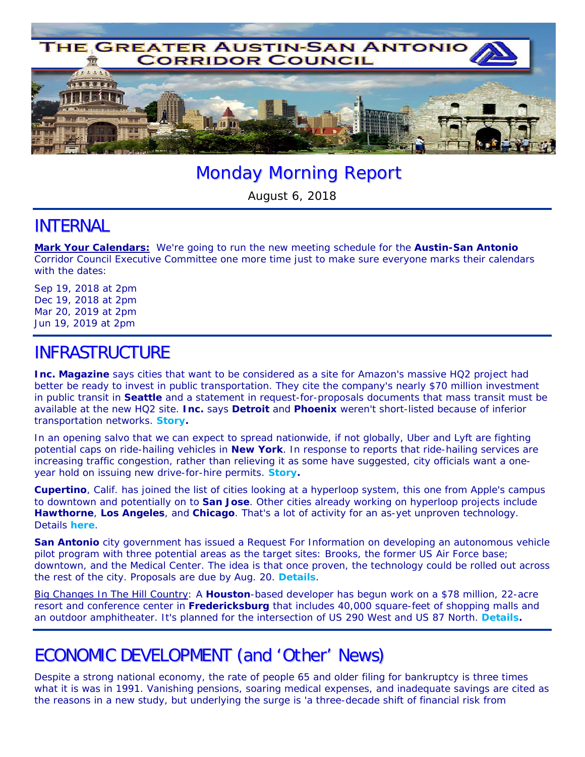

# Monday Morning Report

August 6, 2018

#### INTERNAL

**Mark Your Calendars:** We're going to run the new meeting schedule for the **Austin-San Antonio** Corridor Council Executive Committee one more time just to make sure everyone marks their calendars with the dates:

Sep 19, 2018 at 2pm Dec 19, 2018 at 2pm Mar 20, 2019 at 2pm Jun 19, 2019 at 2pm

## INFRASTRUCTURE

**Inc. Magazine** says cities that want to be considered as a site for Amazon's massive HQ2 project had better be ready to invest in public transportation. They cite the company's nearly \$70 million investment in public transit in **Seattle** and a statement in request-for-proposals documents that mass transit *must* be available at the new HQ2 site. **Inc.** says **Detroit** and **Phoenix** weren't short-listed because of inferior transportation networks. *Story.* 

In an opening salvo that we can expect to spread nationwide, if not globally, Uber and Lyft are fighting potential caps on ride-hailing vehicles in **New York**. In response to reports that ride-hailing services are *increasing* traffic congestion, rather than relieving it as some have suggested, city officials want a oneyear hold on issuing new drive-for-hire permits. *Story.*

**Cupertino**, Calif. has joined the list of cities looking at a hyperloop system, this one from Apple's campus to downtown and potentially on to **San Jose**. Other cities already working on hyperloop projects include **Hawthorne**, **Los Angeles**, and **Chicago**. That's a lot of activity for an as-yet unproven technology. Details *here*.

**San Antonio** city government has issued a Request For Information on developing an autonomous vehicle pilot program with three potential areas as the target sites: Brooks, the former US Air Force base; downtown, and the Medical Center. The idea is that once proven, the technology could be rolled out across the rest of the city. Proposals are due by Aug. 20. *Details*.

Big Changes In The Hill Country: A **Houston**-based developer has begun work on a \$78 million, 22-acre resort and conference center in **Fredericksburg** that includes 40,000 square-feet of shopping malls and an outdoor amphitheater. It's planned for the intersection of US 290 West and US 87 North. *Details.*

# ECONOMIC DEVELOPMENT (and 'Other' News)

Despite a strong national economy, the rate of people 65 and older filing for bankruptcy is three times what it is was in 1991. Vanishing pensions, soaring medical expenses, and inadequate savings are cited as the reasons in a new study, but underlying the surge is 'a three-decade shift of financial risk from